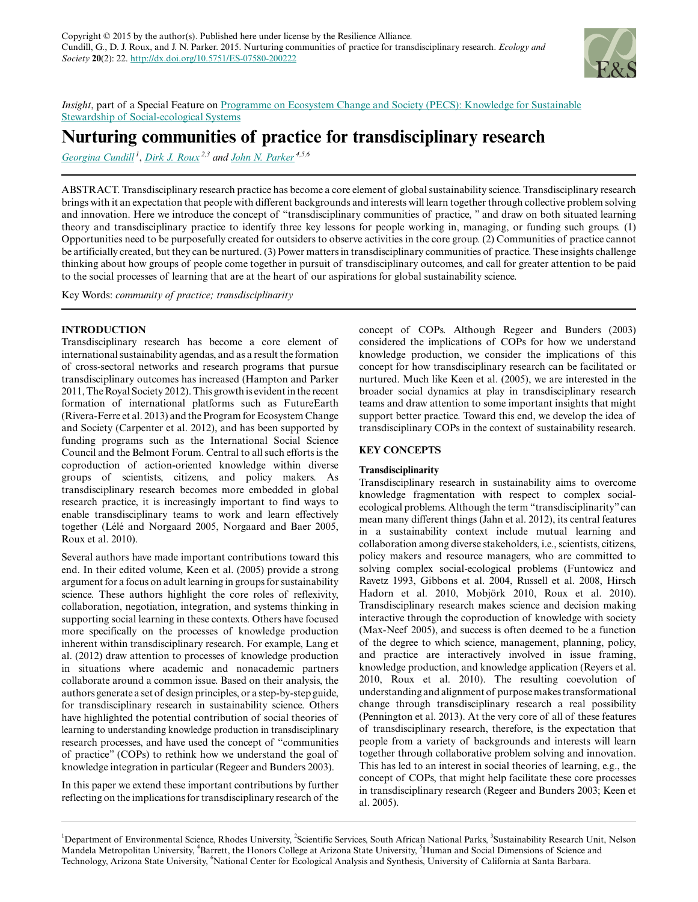

*Insight*, part of a Special Feature on [Programme on Ecosystem Change and Society \(PECS\): Knowledge for Sustainable](http://www.ecologyandsociety.org/viewissue.php?sf=106) [Stewardship of Social-ecological Systems](http://www.ecologyandsociety.org/viewissue.php?sf=106)

# **Nurturing communities of practice for transdisciplinary research**

*[Georgina Cundill](mailto:g.cundill@ru.ac.za)<sup>1</sup>* , *[Dirk J. Roux](mailto:dirk.roux@sanparks.org) 2,3 and [John N. Parker](mailto:John.Parker@asu.edu) 4,5,6*

ABSTRACT. Transdisciplinary research practice has become a core element of global sustainability science. Transdisciplinary research brings with it an expectation that people with different backgrounds and interests will learn together through collective problem solving and innovation. Here we introduce the concept of "transdisciplinary communities of practice, " and draw on both situated learning theory and transdisciplinary practice to identify three key lessons for people working in, managing, or funding such groups. (1) Opportunities need to be purposefully created for outsiders to observe activities in the core group. (2) Communities of practice cannot be artificially created, but they can be nurtured. (3) Power matters in transdisciplinary communities of practice. These insights challenge thinking about how groups of people come together in pursuit of transdisciplinary outcomes, and call for greater attention to be paid to the social processes of learning that are at the heart of our aspirations for global sustainability science.

Key Words: *community of practice; transdisciplinarity*

## **INTRODUCTION**

Transdisciplinary research has become a core element of international sustainability agendas, and as a result the formation of cross-sectoral networks and research programs that pursue transdisciplinary outcomes has increased (Hampton and Parker 2011, The Royal Society 2012). This growth is evident in the recent formation of international platforms such as FutureEarth (Rivera-Ferre et al. 2013) and the Program for Ecosystem Change and Society (Carpenter et al. 2012), and has been supported by funding programs such as the International Social Science Council and the Belmont Forum. Central to all such efforts is the coproduction of action-oriented knowledge within diverse groups of scientists, citizens, and policy makers. As transdisciplinary research becomes more embedded in global research practice, it is increasingly important to find ways to enable transdisciplinary teams to work and learn effectively together (Lélé and Norgaard 2005, Norgaard and Baer 2005, Roux et al. 2010).

Several authors have made important contributions toward this end. In their edited volume, Keen et al. (2005) provide a strong argument for a focus on adult learning in groups for sustainability science. These authors highlight the core roles of reflexivity, collaboration, negotiation, integration, and systems thinking in supporting social learning in these contexts. Others have focused more specifically on the processes of knowledge production inherent within transdisciplinary research. For example, Lang et al. (2012) draw attention to processes of knowledge production in situations where academic and nonacademic partners collaborate around a common issue. Based on their analysis, the authors generate a set of design principles, or a step-by-step guide, for transdisciplinary research in sustainability science. Others have highlighted the potential contribution of social theories of learning to understanding knowledge production in transdisciplinary research processes, and have used the concept of "communities of practice" (COPs) to rethink how we understand the goal of knowledge integration in particular (Regeer and Bunders 2003).

In this paper we extend these important contributions by further reflecting on the implications for transdisciplinary research of the

concept of COPs. Although Regeer and Bunders (2003) considered the implications of COPs for how we understand knowledge production, we consider the implications of this concept for how transdisciplinary research can be facilitated or nurtured. Much like Keen et al. (2005), we are interested in the broader social dynamics at play in transdisciplinary research teams and draw attention to some important insights that might support better practice. Toward this end, we develop the idea of transdisciplinary COPs in the context of sustainability research.

## **KEY CONCEPTS**

## **Transdisciplinarity**

Transdisciplinary research in sustainability aims to overcome knowledge fragmentation with respect to complex socialecological problems. Although the term "transdisciplinarity" can mean many different things (Jahn et al. 2012), its central features in a sustainability context include mutual learning and collaboration among diverse stakeholders, i.e., scientists, citizens, policy makers and resource managers, who are committed to solving complex social-ecological problems (Funtowicz and Ravetz 1993, Gibbons et al. 2004, Russell et al. 2008, Hirsch Hadorn et al. 2010, Mobjörk 2010, Roux et al. 2010). Transdisciplinary research makes science and decision making interactive through the coproduction of knowledge with society (Max-Neef 2005), and success is often deemed to be a function of the degree to which science, management, planning, policy, and practice are interactively involved in issue framing, knowledge production, and knowledge application (Reyers et al. 2010, Roux et al. 2010). The resulting coevolution of understanding and alignment of purpose makes transformational change through transdisciplinary research a real possibility (Pennington et al. 2013). At the very core of all of these features of transdisciplinary research, therefore, is the expectation that people from a variety of backgrounds and interests will learn together through collaborative problem solving and innovation. This has led to an interest in social theories of learning, e.g., the concept of COPs, that might help facilitate these core processes in transdisciplinary research (Regeer and Bunders 2003; Keen et al. 2005).

<sup>&</sup>lt;sup>1</sup>Department of Environmental Science, Rhodes University, <sup>2</sup>Scientific Services, South African National Parks, <sup>3</sup>Sustainability Research Unit, Nelson Mandela Metropolitan University, <sup>4</sup>Barrett, the Honors College at Arizona State University, <sup>5</sup>Human and Social Dimensions of Science and Technology, Arizona State University, <sup>o</sup>National Center for Ecological Analysis and Synthesis, University of California at Santa Barbara.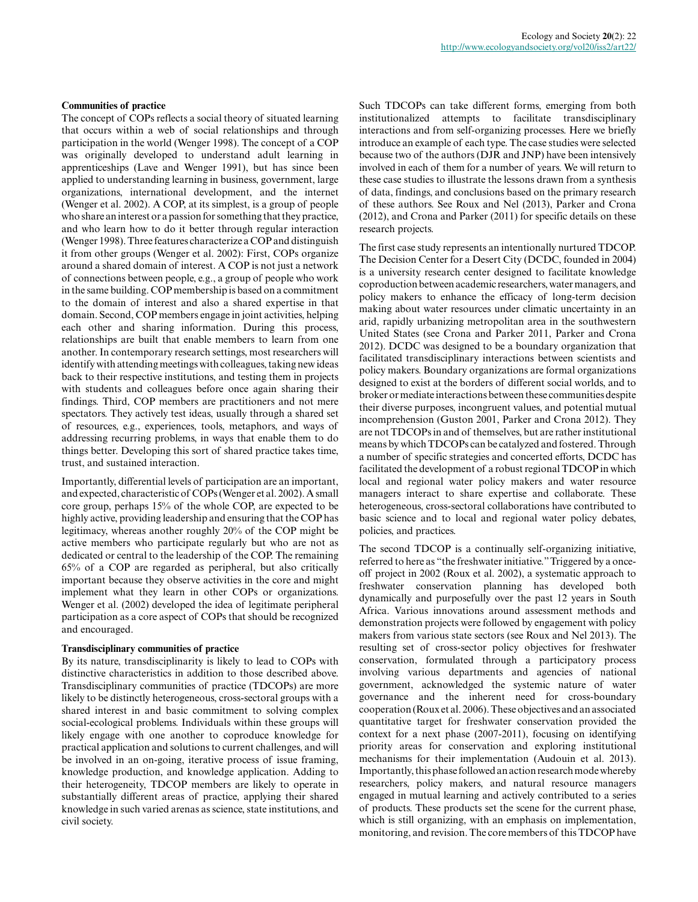The concept of COPs reflects a social theory of situated learning that occurs within a web of social relationships and through participation in the world (Wenger 1998). The concept of a COP was originally developed to understand adult learning in apprenticeships (Lave and Wenger 1991), but has since been applied to understanding learning in business, government, large organizations, international development, and the internet (Wenger et al. 2002). A COP, at its simplest, is a group of people who share an interest or a passion for something that they practice, and who learn how to do it better through regular interaction (Wenger 1998). Three features characterize a COP and distinguish it from other groups (Wenger et al. 2002): First, COPs organize around a shared domain of interest. A COP is not just a network of connections between people, e.g., a group of people who work in the same building. COP membership is based on a commitment to the domain of interest and also a shared expertise in that domain. Second, COP members engage in joint activities, helping each other and sharing information. During this process, relationships are built that enable members to learn from one another. In contemporary research settings, most researchers will identify with attending meetings with colleagues, taking new ideas back to their respective institutions, and testing them in projects with students and colleagues before once again sharing their findings. Third, COP members are practitioners and not mere spectators. They actively test ideas, usually through a shared set of resources, e.g., experiences, tools, metaphors, and ways of addressing recurring problems, in ways that enable them to do things better. Developing this sort of shared practice takes time, trust, and sustained interaction.

Importantly, differential levels of participation are an important, and expected, characteristic of COPs (Wenger et al. 2002). A small core group, perhaps 15% of the whole COP, are expected to be highly active, providing leadership and ensuring that the COP has legitimacy, whereas another roughly 20% of the COP might be active members who participate regularly but who are not as dedicated or central to the leadership of the COP. The remaining 65% of a COP are regarded as peripheral, but also critically important because they observe activities in the core and might implement what they learn in other COPs or organizations. Wenger et al. (2002) developed the idea of legitimate peripheral participation as a core aspect of COPs that should be recognized and encouraged.

#### **Transdisciplinary communities of practice**

By its nature, transdisciplinarity is likely to lead to COPs with distinctive characteristics in addition to those described above. Transdisciplinary communities of practice (TDCOPs) are more likely to be distinctly heterogeneous, cross-sectoral groups with a shared interest in and basic commitment to solving complex social-ecological problems. Individuals within these groups will likely engage with one another to coproduce knowledge for practical application and solutions to current challenges, and will be involved in an on-going, iterative process of issue framing, knowledge production, and knowledge application. Adding to their heterogeneity, TDCOP members are likely to operate in substantially different areas of practice, applying their shared knowledge in such varied arenas as science, state institutions, and civil society.

Such TDCOPs can take different forms, emerging from both institutionalized attempts to facilitate transdisciplinary interactions and from self-organizing processes. Here we briefly introduce an example of each type. The case studies were selected because two of the authors (DJR and JNP) have been intensively involved in each of them for a number of years. We will return to these case studies to illustrate the lessons drawn from a synthesis of data, findings, and conclusions based on the primary research of these authors. See Roux and Nel (2013), Parker and Crona (2012), and Crona and Parker (2011) for specific details on these research projects.

The first case study represents an intentionally nurtured TDCOP. The Decision Center for a Desert City (DCDC, founded in 2004) is a university research center designed to facilitate knowledge coproduction between academic researchers, water managers, and policy makers to enhance the efficacy of long-term decision making about water resources under climatic uncertainty in an arid, rapidly urbanizing metropolitan area in the southwestern United States (see Crona and Parker 2011, Parker and Crona 2012). DCDC was designed to be a boundary organization that facilitated transdisciplinary interactions between scientists and policy makers. Boundary organizations are formal organizations designed to exist at the borders of different social worlds, and to broker or mediate interactions between these communities despite their diverse purposes, incongruent values, and potential mutual incomprehension (Guston 2001, Parker and Crona 2012). They are not TDCOPs in and of themselves, but are rather institutional means by which TDCOPs can be catalyzed and fostered. Through a number of specific strategies and concerted efforts, DCDC has facilitated the development of a robust regional TDCOP in which local and regional water policy makers and water resource managers interact to share expertise and collaborate. These heterogeneous, cross-sectoral collaborations have contributed to basic science and to local and regional water policy debates, policies, and practices.

The second TDCOP is a continually self-organizing initiative, referred to here as "the freshwater initiative." Triggered by a onceoff project in 2002 (Roux et al. 2002), a systematic approach to freshwater conservation planning has developed both dynamically and purposefully over the past 12 years in South Africa. Various innovations around assessment methods and demonstration projects were followed by engagement with policy makers from various state sectors (see Roux and Nel 2013). The resulting set of cross-sector policy objectives for freshwater conservation, formulated through a participatory process involving various departments and agencies of national government, acknowledged the systemic nature of water governance and the inherent need for cross-boundary cooperation (Roux et al. 2006). These objectives and an associated quantitative target for freshwater conservation provided the context for a next phase (2007-2011), focusing on identifying priority areas for conservation and exploring institutional mechanisms for their implementation (Audouin et al. 2013). Importantly, this phase followed an action research mode whereby researchers, policy makers, and natural resource managers engaged in mutual learning and actively contributed to a series of products. These products set the scene for the current phase, which is still organizing, with an emphasis on implementation, monitoring, and revision. The core members of this TDCOP have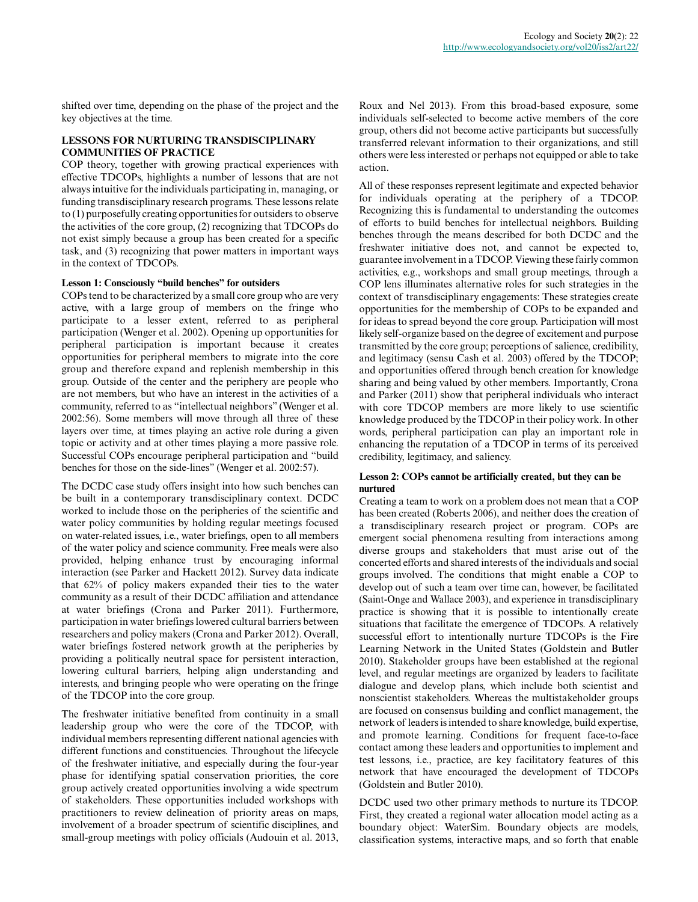shifted over time, depending on the phase of the project and the key objectives at the time.

### **LESSONS FOR NURTURING TRANSDISCIPLINARY COMMUNITIES OF PRACTICE**

COP theory, together with growing practical experiences with effective TDCOPs, highlights a number of lessons that are not always intuitive for the individuals participating in, managing, or funding transdisciplinary research programs. These lessons relate to (1) purposefully creating opportunities for outsiders to observe the activities of the core group, (2) recognizing that TDCOPs do not exist simply because a group has been created for a specific task, and (3) recognizing that power matters in important ways in the context of TDCOPs.

#### **Lesson 1: Consciously "build benches" for outsiders**

COPs tend to be characterized by a small core group who are very active, with a large group of members on the fringe who participate to a lesser extent, referred to as peripheral participation (Wenger et al. 2002). Opening up opportunities for peripheral participation is important because it creates opportunities for peripheral members to migrate into the core group and therefore expand and replenish membership in this group. Outside of the center and the periphery are people who are not members, but who have an interest in the activities of a community, referred to as "intellectual neighbors" (Wenger et al. 2002:56). Some members will move through all three of these layers over time, at times playing an active role during a given topic or activity and at other times playing a more passive role. Successful COPs encourage peripheral participation and "build benches for those on the side-lines" (Wenger et al. 2002:57).

The DCDC case study offers insight into how such benches can be built in a contemporary transdisciplinary context. DCDC worked to include those on the peripheries of the scientific and water policy communities by holding regular meetings focused on water-related issues, i.e., water briefings, open to all members of the water policy and science community. Free meals were also provided, helping enhance trust by encouraging informal interaction (see Parker and Hackett 2012). Survey data indicate that 62% of policy makers expanded their ties to the water community as a result of their DCDC affiliation and attendance at water briefings (Crona and Parker 2011). Furthermore, participation in water briefings lowered cultural barriers between researchers and policy makers (Crona and Parker 2012). Overall, water briefings fostered network growth at the peripheries by providing a politically neutral space for persistent interaction, lowering cultural barriers, helping align understanding and interests, and bringing people who were operating on the fringe of the TDCOP into the core group.

The freshwater initiative benefited from continuity in a small leadership group who were the core of the TDCOP, with individual members representing different national agencies with different functions and constituencies. Throughout the lifecycle of the freshwater initiative, and especially during the four-year phase for identifying spatial conservation priorities, the core group actively created opportunities involving a wide spectrum of stakeholders. These opportunities included workshops with practitioners to review delineation of priority areas on maps, involvement of a broader spectrum of scientific disciplines, and small-group meetings with policy officials (Audouin et al. 2013,

Roux and Nel 2013). From this broad-based exposure, some individuals self-selected to become active members of the core group, others did not become active participants but successfully transferred relevant information to their organizations, and still others were less interested or perhaps not equipped or able to take action.

All of these responses represent legitimate and expected behavior for individuals operating at the periphery of a TDCOP. Recognizing this is fundamental to understanding the outcomes of efforts to build benches for intellectual neighbors. Building benches through the means described for both DCDC and the freshwater initiative does not, and cannot be expected to, guarantee involvement in a TDCOP. Viewing these fairly common activities, e.g., workshops and small group meetings, through a COP lens illuminates alternative roles for such strategies in the context of transdisciplinary engagements: These strategies create opportunities for the membership of COPs to be expanded and for ideas to spread beyond the core group. Participation will most likely self-organize based on the degree of excitement and purpose transmitted by the core group; perceptions of salience, credibility, and legitimacy (sensu Cash et al. 2003) offered by the TDCOP; and opportunities offered through bench creation for knowledge sharing and being valued by other members. Importantly, Crona and Parker (2011) show that peripheral individuals who interact with core TDCOP members are more likely to use scientific knowledge produced by the TDCOP in their policy work. In other words, peripheral participation can play an important role in enhancing the reputation of a TDCOP in terms of its perceived credibility, legitimacy, and saliency.

### **Lesson 2: COPs cannot be artificially created, but they can be nurtured**

Creating a team to work on a problem does not mean that a COP has been created (Roberts 2006), and neither does the creation of a transdisciplinary research project or program. COPs are emergent social phenomena resulting from interactions among diverse groups and stakeholders that must arise out of the concerted efforts and shared interests of the individuals and social groups involved. The conditions that might enable a COP to develop out of such a team over time can, however, be facilitated (Saint-Onge and Wallace 2003), and experience in transdisciplinary practice is showing that it is possible to intentionally create situations that facilitate the emergence of TDCOPs. A relatively successful effort to intentionally nurture TDCOPs is the Fire Learning Network in the United States (Goldstein and Butler 2010). Stakeholder groups have been established at the regional level, and regular meetings are organized by leaders to facilitate dialogue and develop plans, which include both scientist and nonscientist stakeholders. Whereas the multistakeholder groups are focused on consensus building and conflict management, the network of leaders is intended to share knowledge, build expertise, and promote learning. Conditions for frequent face-to-face contact among these leaders and opportunities to implement and test lessons, i.e., practice, are key facilitatory features of this network that have encouraged the development of TDCOPs (Goldstein and Butler 2010).

DCDC used two other primary methods to nurture its TDCOP. First, they created a regional water allocation model acting as a boundary object: WaterSim. Boundary objects are models, classification systems, interactive maps, and so forth that enable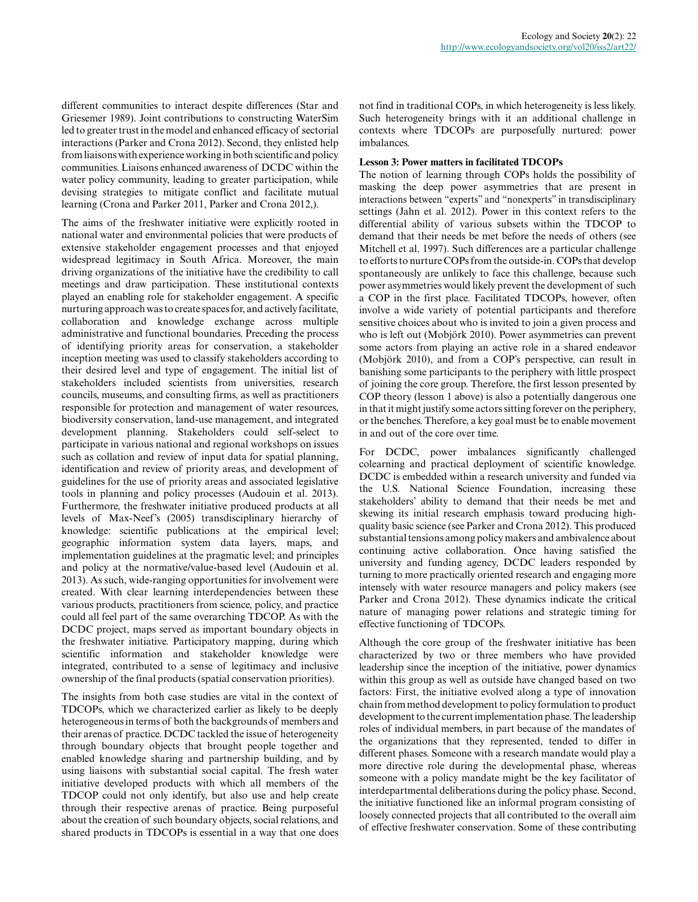different communities to interact despite differences (Star and Griesemer 1989). Joint contributions to constructing WaterSim led to greater trust in the model and enhanced efficacy of sectorial interactions (Parker and Crona 2012). Second, they enlisted help from liaisons with experience working in both scientific and policy communities. Liaisons enhanced awareness of DCDC within the water policy community, leading to greater participation, while devising strategies to mitigate conflict and facilitate mutual learning (Crona and Parker 2011, Parker and Crona 2012,).

The aims of the freshwater initiative were explicitly rooted in national water and environmental policies that were products of extensive stakeholder engagement processes and that enjoyed widespread legitimacy in South Africa. Moreover, the main driving organizations of the initiative have the credibility to call meetings and draw participation. These institutional contexts played an enabling role for stakeholder engagement. A specific nurturing approach was to create spaces for, and actively facilitate, collaboration and knowledge exchange across multiple administrative and functional boundaries. Preceding the process of identifying priority areas for conservation, a stakeholder inception meeting was used to classify stakeholders according to their desired level and type of engagement. The initial list of stakeholders included scientists from universities, research councils, museums, and consulting firms, as well as practitioners responsible for protection and management of water resources, biodiversity conservation, land-use management, and integrated development planning. Stakeholders could self-select to participate in various national and regional workshops on issues such as collation and review of input data for spatial planning, identification and review of priority areas, and development of guidelines for the use of priority areas and associated legislative tools in planning and policy processes (Audouin et al. 2013). Furthermore, the freshwater initiative produced products at all levels of Max-Neef's (2005) transdisciplinary hierarchy of knowledge: scientific publications at the empirical level; geographic information system data layers, maps, and implementation guidelines at the pragmatic level; and principles and policy at the normative/value-based level (Audouin et al. 2013). As such, wide-ranging opportunities for involvement were created. With clear learning interdependencies between these various products, practitioners from science, policy, and practice could all feel part of the same overarching TDCOP. As with the DCDC project, maps served as important boundary objects in the freshwater initiative. Participatory mapping, during which scientific information and stakeholder knowledge were integrated, contributed to a sense of legitimacy and inclusive ownership of the final products (spatial conservation priorities).

The insights from both case studies are vital in the context of TDCOPs, which we characterized earlier as likely to be deeply heterogeneous in terms of both the backgrounds of members and their arenas of practice. DCDC tackled the issue of heterogeneity through boundary objects that brought people together and enabled knowledge sharing and partnership building, and by using liaisons with substantial social capital. The fresh water initiative developed products with which all members of the TDCOP could not only identify, but also use and help create through their respective arenas of practice. Being purposeful about the creation of such boundary objects, social relations, and shared products in TDCOPs is essential in a way that one does

not find in traditional COPs, in which heterogeneity is less likely. Such heterogeneity brings with it an additional challenge in contexts where TDCOPs are purposefully nurtured: power imbalances.

#### **Lesson 3: Power matters in facilitated TDCOPs**

The notion of learning through COPs holds the possibility of masking the deep power asymmetries that are present in interactions between "experts" and "nonexperts" in transdisciplinary settings (Jahn et al. 2012). Power in this context refers to the differential ability of various subsets within the TDCOP to demand that their needs be met before the needs of others (see Mitchell et al. 1997). Such differences are a particular challenge to efforts to nurture COPs from the outside-in. COPs that develop spontaneously are unlikely to face this challenge, because such power asymmetries would likely prevent the development of such a COP in the first place. Facilitated TDCOPs, however, often involve a wide variety of potential participants and therefore sensitive choices about who is invited to join a given process and who is left out (Mobjörk 2010). Power asymmetries can prevent some actors from playing an active role in a shared endeavor (Mobjörk 2010), and from a COP's perspective, can result in banishing some participants to the periphery with little prospect of joining the core group. Therefore, the first lesson presented by COP theory (lesson 1 above) is also a potentially dangerous one in that it might justify some actors sitting forever on the periphery, or the benches. Therefore, a key goal must be to enable movement in and out of the core over time.

For DCDC, power imbalances significantly challenged colearning and practical deployment of scientific knowledge. DCDC is embedded within a research university and funded via the U.S. National Science Foundation, increasing these stakeholders' ability to demand that their needs be met and skewing its initial research emphasis toward producing highquality basic science (see Parker and Crona 2012). This produced substantial tensions among policy makers and ambivalence about continuing active collaboration. Once having satisfied the university and funding agency, DCDC leaders responded by turning to more practically oriented research and engaging more intensely with water resource managers and policy makers (see Parker and Crona 2012). These dynamics indicate the critical nature of managing power relations and strategic timing for effective functioning of TDCOPs.

Although the core group of the freshwater initiative has been characterized by two or three members who have provided leadership since the inception of the initiative, power dynamics within this group as well as outside have changed based on two factors: First, the initiative evolved along a type of innovation chain from method development to policy formulation to product development to the current implementation phase. The leadership roles of individual members, in part because of the mandates of the organizations that they represented, tended to differ in different phases. Someone with a research mandate would play a more directive role during the developmental phase, whereas someone with a policy mandate might be the key facilitator of interdepartmental deliberations during the policy phase. Second, the initiative functioned like an informal program consisting of loosely connected projects that all contributed to the overall aim of effective freshwater conservation. Some of these contributing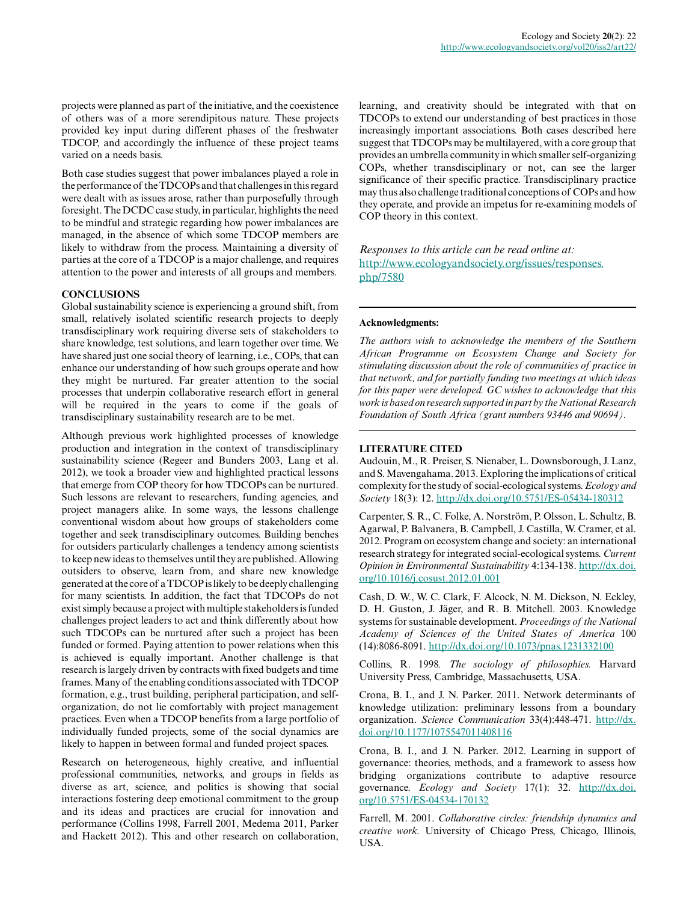projects were planned as part of the initiative, and the coexistence of others was of a more serendipitous nature. These projects provided key input during different phases of the freshwater TDCOP, and accordingly the influence of these project teams varied on a needs basis.

Both case studies suggest that power imbalances played a role in the performance of the TDCOPs and that challenges in this regard were dealt with as issues arose, rather than purposefully through foresight. The DCDC case study, in particular, highlights the need to be mindful and strategic regarding how power imbalances are managed, in the absence of which some TDCOP members are likely to withdraw from the process. Maintaining a diversity of parties at the core of a TDCOP is a major challenge, and requires attention to the power and interests of all groups and members.

#### **CONCLUSIONS**

Global sustainability science is experiencing a ground shift, from small, relatively isolated scientific research projects to deeply transdisciplinary work requiring diverse sets of stakeholders to share knowledge, test solutions, and learn together over time. We have shared just one social theory of learning, i.e., COPs, that can enhance our understanding of how such groups operate and how they might be nurtured. Far greater attention to the social processes that underpin collaborative research effort in general will be required in the years to come if the goals of transdisciplinary sustainability research are to be met.

Although previous work highlighted processes of knowledge production and integration in the context of transdisciplinary sustainability science (Regeer and Bunders 2003, Lang et al. 2012), we took a broader view and highlighted practical lessons that emerge from COP theory for how TDCOPs can be nurtured. Such lessons are relevant to researchers, funding agencies, and project managers alike. In some ways, the lessons challenge conventional wisdom about how groups of stakeholders come together and seek transdisciplinary outcomes. Building benches for outsiders particularly challenges a tendency among scientists to keep new ideas to themselves until they are published. Allowing outsiders to observe, learn from, and share new knowledge generated at the core of a TDCOP is likely to be deeply challenging for many scientists. In addition, the fact that TDCOPs do not exist simply because a project with multiple stakeholders is funded challenges project leaders to act and think differently about how such TDCOPs can be nurtured after such a project has been funded or formed. Paying attention to power relations when this is achieved is equally important. Another challenge is that research is largely driven by contracts with fixed budgets and time frames. Many of the enabling conditions associated with TDCOP formation, e.g., trust building, peripheral participation, and selforganization, do not lie comfortably with project management practices. Even when a TDCOP benefits from a large portfolio of individually funded projects, some of the social dynamics are likely to happen in between formal and funded project spaces.

Research on heterogeneous, highly creative, and influential professional communities, networks, and groups in fields as diverse as art, science, and politics is showing that social interactions fostering deep emotional commitment to the group and its ideas and practices are crucial for innovation and performance (Collins 1998, Farrell 2001, Medema 2011, Parker and Hackett 2012). This and other research on collaboration,

learning, and creativity should be integrated with that on TDCOPs to extend our understanding of best practices in those increasingly important associations. Both cases described here suggest that TDCOPs may be multilayered, with a core group that provides an umbrella community in which smaller self-organizing COPs, whether transdisciplinary or not, can see the larger significance of their specific practice. Transdisciplinary practice may thus also challenge traditional conceptions of COPs and how they operate, and provide an impetus for re-examining models of COP theory in this context.

*Responses to this article can be read online at:* [http://www.ecologyandsociety.org/issues/responses.](http://www.ecologyandsociety.org/issues/responses.php/7580) [php/7580](http://www.ecologyandsociety.org/issues/responses.php/7580)

#### **Acknowledgments:**

*The authors wish to acknowledge the members of the Southern African Programme on Ecosystem Change and Society for stimulating discussion about the role of communities of practice in that network, and for partially funding two meetings at which ideas for this paper were developed. GC wishes to acknowledge that this work is based on research supported in part by the National Research Foundation of South Africa (grant numbers 93446 and 90694).*

#### **LITERATURE CITED**

Audouin, M., R. Preiser, S. Nienaber, L. Downsborough, J. Lanz, and S. Mavengahama. 2013. Exploring the implications of critical complexity for the study of social-ecological systems. *Ecology and Society* 18(3): 12. [http://dx.doi.org/10.5751/ES-05434-180312](http://dx.doi.org/10.5751%2FES-05434-180312) 

Carpenter, S. R., C. Folke, A. Norström, P. Olsson, L. Schultz, B. Agarwal, P. Balvanera, B. Campbell, J. Castilla, W. Cramer, et al. 2012. Program on ecosystem change and society: an international research strategy for integrated social-ecological systems. *Current Opinion in Environmental Sustainability* 4:134-138. [http://dx.doi.](http://dx.doi.org/10.1016%2Fj.cosust.2012.01.001) [org/10.1016/j.cosust.2012.01.001](http://dx.doi.org/10.1016%2Fj.cosust.2012.01.001) 

Cash, D. W., W. C. Clark, F. Alcock, N. M. Dickson, N. Eckley, D. H. Guston, J. Jäger, and R. B. Mitchell. 2003. Knowledge systems for sustainable development. *Proceedings of the National Academy of Sciences of the United States of America* 100 (14):8086-8091. [http://dx.doi.org/10.1073/pnas.1231332100](http://dx.doi.org/10.1073%2Fpnas.1231332100)

Collins, R. 1998*. The sociology of philosophies.* Harvard University Press, Cambridge, Massachusetts, USA.

Crona, B. I., and J. N. Parker. 2011. Network determinants of knowledge utilization: preliminary lessons from a boundary organization. *Science Communication* 33(4):448-471. [http://dx.](http://dx.doi.org/10.1177%2F1075547011408116) [doi.org/10.1177/1075547011408116](http://dx.doi.org/10.1177%2F1075547011408116)

Crona, B. I., and J. N. Parker. 2012. Learning in support of governance: theories, methods, and a framework to assess how bridging organizations contribute to adaptive resource governance. *Ecology and Society* 17(1): 32. [http://dx.doi.](http://dx.doi.org/10.5751%2FES-04534-170132) [org/10.5751/ES-04534-170132](http://dx.doi.org/10.5751%2FES-04534-170132) 

Farrell, M. 2001. *Collaborative circles: friendship dynamics and creative work.* University of Chicago Press, Chicago, Illinois, USA.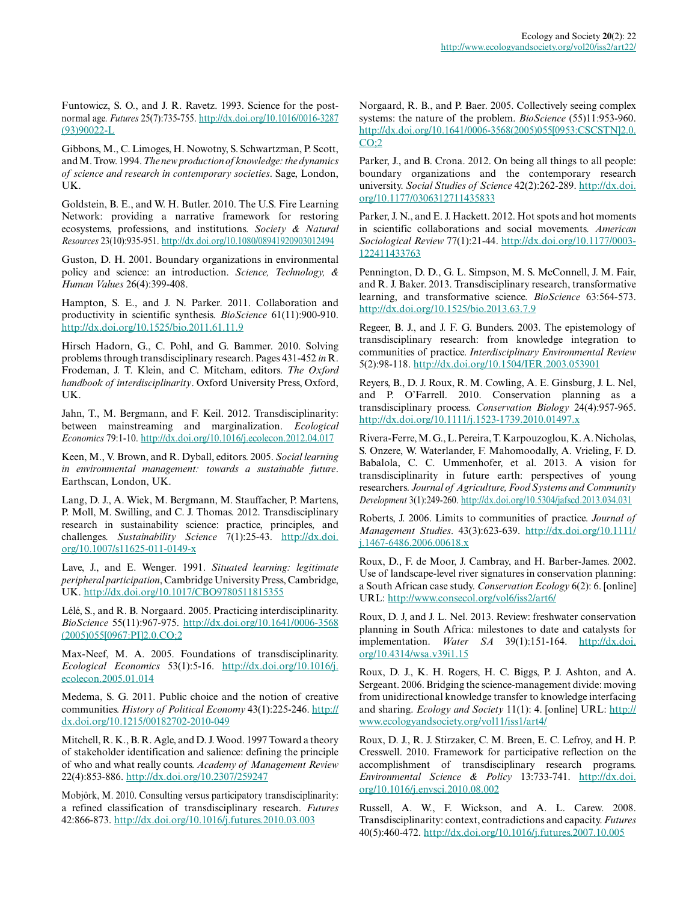Funtowicz, S. O., and J. R. Ravetz. 1993. Science for the postnormal age. *Futures* 25(7):735-755. [http://dx.doi.org/10.1016/0016-3287](http://dx.doi.org/10.1016%2F0016-3287%2893%2990022-L) [\(93\)90022-L](http://dx.doi.org/10.1016%2F0016-3287%2893%2990022-L)

Gibbons, M., C. Limoges, H. Nowotny, S. Schwartzman, P. Scott, and M. Trow. 1994. *The new production of knowledge: the dynamics of science and research in contemporary societies*. Sage, London, UK.

Goldstein, B. E., and W. H. Butler. 2010. The U.S. Fire Learning Network: providing a narrative framework for restoring ecosystems, professions, and institutions. *Society & Natural Resources* 23(10):935-951. [http://dx.doi.org/10.1080/08941920903012494](http://dx.doi.org/10.1080%2F08941920903012494)

Guston, D. H. 2001. Boundary organizations in environmental policy and science: an introduction. *Science, Technology, & Human Values* 26(4):399-408.

Hampton, S. E., and J. N. Parker. 2011. Collaboration and productivity in scientific synthesis. *BioScience* 61(11):900-910. [http://dx.doi.org/10.1525/bio.2011.61.11.9](http://dx.doi.org/10.1525%2Fbio.2011.61.11.9) 

Hirsch Hadorn, G., C. Pohl, and G. Bammer. 2010. Solving problems through transdisciplinary research. Pages 431-452 *in* R. Frodeman, J. T. Klein, and C. Mitcham, editors. *The Oxford handbook of interdisciplinarity*. Oxford University Press, Oxford, UK.

Jahn, T., M. Bergmann, and F. Keil. 2012. Transdisciplinarity: between mainstreaming and marginalization. *Ecological Economics* 79:1-10. [http://dx.doi.org/10.1016/j.ecolecon.2012.04.017](http://dx.doi.org/10.1016%2Fj.ecolecon.2012.04.017) 

Keen, M., V. Brown, and R. Dyball, editors. 2005. *Social learning in environmental management: towards a sustainable future*. Earthscan, London, UK.

Lang, D. J., A. Wiek, M. Bergmann, M. Stauffacher, P. Martens, P. Moll, M. Swilling, and C. J. Thomas. 2012. Transdisciplinary research in sustainability science: practice, principles, and challenges. *Sustainability Science* 7(1):25-43. [http://dx.doi.](http://dx.doi.org/10.1007%2Fs11625-011-0149-x) [org/10.1007/s11625-011-0149-x](http://dx.doi.org/10.1007%2Fs11625-011-0149-x)

Lave, J., and E. Wenger. 1991. *Situated learning: legitimate peripheral participation*, Cambridge University Press, Cambridge, UK. [http://dx.doi.org/10.1017/CBO9780511815355](http://dx.doi.org/10.1017%2FCBO9780511815355) 

Lélé, S., and R. B. Norgaard. 2005. Practicing interdisciplinarity. *BioScience* 55(11):967-975. [http://dx.doi.org/10.1641/0006-3568](http://dx.doi.org/10.1641%2F0006-3568%282005%29055%5B0967%3API%5D2.0.CO%3B2) [\(2005\)055\[0967:PI\]2.0.CO;2](http://dx.doi.org/10.1641%2F0006-3568%282005%29055%5B0967%3API%5D2.0.CO%3B2) 

Max-Neef, M. A. 2005. Foundations of transdisciplinarity. *Ecological Economics* 53(1):5-16. [http://dx.doi.org/10.1016/j.](http://dx.doi.org/10.1016%2Fj.ecolecon.2005.01.014) [ecolecon.2005.01.014](http://dx.doi.org/10.1016%2Fj.ecolecon.2005.01.014) 

Medema, S. G. 2011. Public choice and the notion of creative communities. *History of Political Economy* 43(1):225-246. [http://](http://dx.doi.org/10.1215%2F00182702-2010-049) [dx.doi.org/10.1215/00182702-2010-049](http://dx.doi.org/10.1215%2F00182702-2010-049)

Mitchell, R. K., B. R. Agle, and D. J. Wood. 1997 Toward a theory of stakeholder identification and salience: defining the principle of who and what really counts. *Academy of Management Review* 22(4):853-886. [http://dx.doi.org/10.2307/259247](http://dx.doi.org/10.2307%2F259247) 

Mobjörk, M. 2010. Consulting versus participatory transdisciplinarity: a refined classification of transdisciplinary research. *Futures* 42:866-873. [http://dx.doi.org/10.1016/j.futures.2010.03.003](http://dx.doi.org/10.1016%2Fj.futures.2010.03.003)

Norgaard, R. B., and P. Baer. 2005. Collectively seeing complex systems: the nature of the problem. *BioScience* (55)11:953-960. [http://dx.doi.org/10.1641/0006-3568\(2005\)055\[0953:CSCSTN\]2.0.](http://dx.doi.org/10.1641%2F0006-3568%282005%29055%5B0953%3ACSCSTN%5D2.0.CO%3B2)  $CO:2$ 

Parker, J., and B. Crona. 2012. On being all things to all people: boundary organizations and the contemporary research university. *Social Studies of Science* 42(2):262-289. [http://dx.doi.](http://dx.doi.org/10.1177%2F0306312711435833) [org/10.1177/0306312711435833](http://dx.doi.org/10.1177%2F0306312711435833)

Parker, J. N., and E. J. Hackett. 2012. Hot spots and hot moments in scientific collaborations and social movements. *American Sociological Review* 77(1):21-44. [http://dx.doi.org/10.1177/0003](http://dx.doi.org/10.1177%2F0003122411433763) [122411433763](http://dx.doi.org/10.1177%2F0003122411433763)

Pennington, D. D., G. L. Simpson, M. S. McConnell, J. M. Fair, and R. J. Baker. 2013. Transdisciplinary research, transformative learning, and transformative science. *BioScience* 63:564-573. [http://dx.doi.org/10.1525/bio.2013.63.7.9](http://dx.doi.org/10.1525%2Fbio.2013.63.7.9)

Regeer, B. J., and J. F. G. Bunders. 2003. The epistemology of transdisciplinary research: from knowledge integration to communities of practice. *Interdisciplinary Environmental Review* 5(2):98-118. [http://dx.doi.org/10.1504/IER.2003.053901](http://dx.doi.org/10.1504%2FIER.2003.053901)

Reyers, B., D. J. Roux, R. M. Cowling, A. E. Ginsburg, J. L. Nel, and P. O'Farrell. 2010. Conservation planning as a transdisciplinary process. *Conservation Biology* 24(4):957-965. [http://dx.doi.org/10.1111/j.1523-1739.2010.01497.x](http://dx.doi.org/10.1111%2Fj.1523-1739.2010.01497.x) 

Rivera-Ferre, M. G., L. Pereira, T. Karpouzoglou, K. A. Nicholas, S. Onzere, W. Waterlander, F. Mahomoodally, A. Vrieling, F. D. Babalola, C. C. Ummenhofer, et al. 2013. A vision for transdisciplinarity in future earth: perspectives of young researchers. *Journal of Agriculture, Food Systems and Community Development* 3(1):249-260. [http://dx.doi.org/10.5304/jafscd.2013.034.031](http://dx.doi.org/10.5304%2Fjafscd.2013.034.031)

Roberts, J. 2006. Limits to communities of practice. *Journal of Management Studies*. 43(3):623-639. [http://dx.doi.org/10.1111/](http://dx.doi.org/10.1111%2Fj.1467-6486.2006.00618.x) [j.1467-6486.2006.00618.x](http://dx.doi.org/10.1111%2Fj.1467-6486.2006.00618.x)

Roux, D., F. de Moor, J. Cambray, and H. Barber-James. 2002. Use of landscape-level river signatures in conservation planning: a South African case study. *Conservation Ecology* 6(2): 6. [online] URL:<http://www.consecol.org/vol6/iss2/art6/>

Roux, D. J, and J. L. Nel. 2013. Review: freshwater conservation planning in South Africa: milestones to date and catalysts for implementation. *Water SA* 39(1):151-164. [http://dx.doi.](http://dx.doi.org/10.4314%2Fwsa.v39i1.15) [org/10.4314/wsa.v39i1.15](http://dx.doi.org/10.4314%2Fwsa.v39i1.15) 

Roux, D. J., K. H. Rogers, H. C. Biggs, P. J. Ashton, and A. Sergeant. 2006. Bridging the science-management divide: moving from unidirectional knowledge transfer to knowledge interfacing and sharing. *Ecology and Society* 11(1): 4. [online] URL: [http://](http://www.ecologyandsociety.org/vol11/iss1/art4/) [www.ecologyandsociety.org/vol11/iss1/art4/](http://www.ecologyandsociety.org/vol11/iss1/art4/) 

Roux, D. J., R. J. Stirzaker, C. M. Breen, E. C. Lefroy, and H. P. Cresswell. 2010. Framework for participative reflection on the accomplishment of transdisciplinary research programs. *Environmental Science & Policy* 13:733-741. [http://dx.doi.](http://dx.doi.org/10.1016%2Fj.envsci.2010.08.002) [org/10.1016/j.envsci.2010.08.002](http://dx.doi.org/10.1016%2Fj.envsci.2010.08.002) 

Russell, A. W., F. Wickson, and A. L. Carew. 2008. Transdisciplinarity: context, contradictions and capacity. *Futures* 40(5):460-472. [http://dx.doi.org/10.1016/j.futures.2007.10.005](http://dx.doi.org/10.1016%2Fj.futures.2007.10.005)